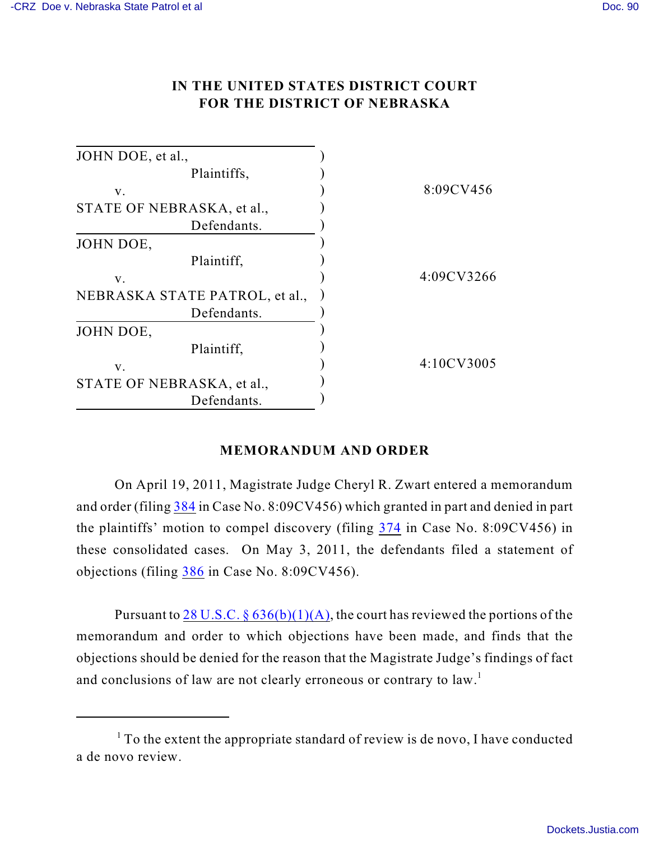## **IN THE UNITED STATES DISTRICT COURT FOR THE DISTRICT OF NEBRASKA**

| 8:09CV456  |
|------------|
|            |
|            |
|            |
|            |
| 4:09CV3266 |
|            |
|            |
|            |
|            |
| 4:10CV3005 |
|            |
|            |
|            |

## **MEMORANDUM AND ORDER**

On April 19, 2011, Magistrate Judge Cheryl R. Zwart entered a memorandum and order (filing [384](https://ecf.ned.uscourts.gov/doc1/11312251197) in Case No. 8:09CV456) which granted in part and denied in part the plaintiffs' motion to compel discovery (filing [374](https://ecf.ned.uscourts.gov/doc1/11312194983) in Case No. 8:09CV456) in these consolidated cases. On May 3, 2011, the defendants filed a statement of objections (filing [386](https://ecf.ned.uscourts.gov/doc1/11312261593) in Case No. 8:09CV456).

Pursuant to 28 U.S.C.  $\S 636(b)(1)(A)$ , the court has reviewed the portions of the memorandum and order to which objections have been made, and finds that the objections should be denied for the reason that the Magistrate Judge's findings of fact and conclusions of law are not clearly erroneous or contrary to law.<sup>1</sup>

 $1$  To the extent the appropriate standard of review is de novo, I have conducted a de novo review.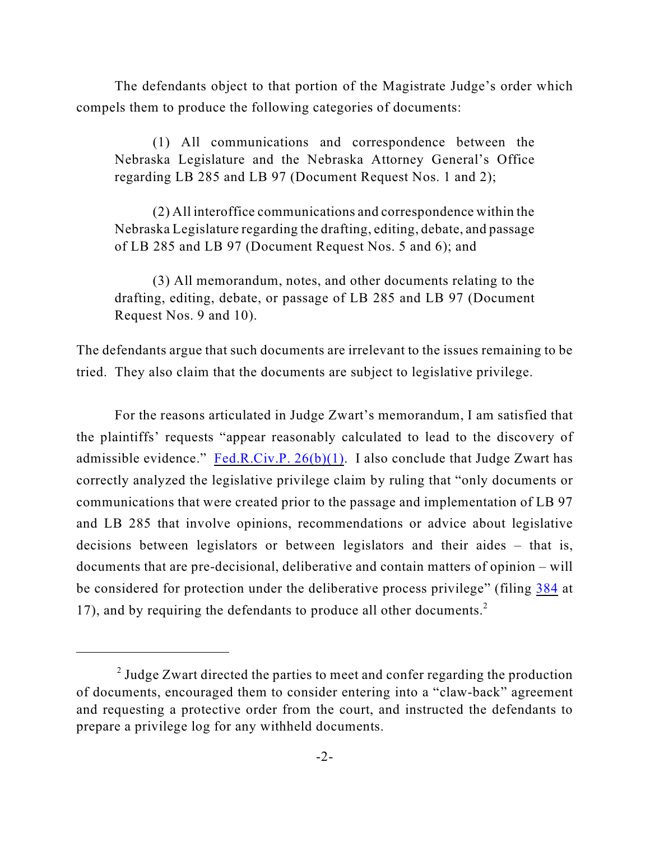The defendants object to that portion of the Magistrate Judge's order which compels them to produce the following categories of documents:

(1) All communications and correspondence between the Nebraska Legislature and the Nebraska Attorney General's Office regarding LB 285 and LB 97 (Document Request Nos. 1 and 2);

(2) All interoffice communications and correspondence within the Nebraska Legislature regarding the drafting, editing, debate, and passage of LB 285 and LB 97 (Document Request Nos. 5 and 6); and

(3) All memorandum, notes, and other documents relating to the drafting, editing, debate, or passage of LB 285 and LB 97 (Document Request Nos. 9 and 10).

The defendants argue that such documents are irrelevant to the issues remaining to be tried. They also claim that the documents are subject to legislative privilege.

For the reasons articulated in Judge Zwart's memorandum, I am satisfied that the plaintiffs' requests "appear reasonably calculated to lead to the discovery of admissible evidence." Fed.R.Civ.P.  $26(b)(1)$ . I also conclude that Judge Zwart has correctly analyzed the legislative privilege claim by ruling that "only documents or communications that were created prior to the passage and implementation of LB 97 and LB 285 that involve opinions, recommendations or advice about legislative decisions between legislators or between legislators and their aides – that is, documents that are pre-decisional, deliberative and contain matters of opinion – will be considered for protection under the deliberative process privilege" (filing [384](https://ecf.ned.uscourts.gov/doc1/11312251197) at 17), and by requiring the defendants to produce all other documents.<sup>2</sup>

 $\alpha$ <sup>2</sup> Judge Zwart directed the parties to meet and confer regarding the production of documents, encouraged them to consider entering into a "claw-back" agreement and requesting a protective order from the court, and instructed the defendants to prepare a privilege log for any withheld documents.